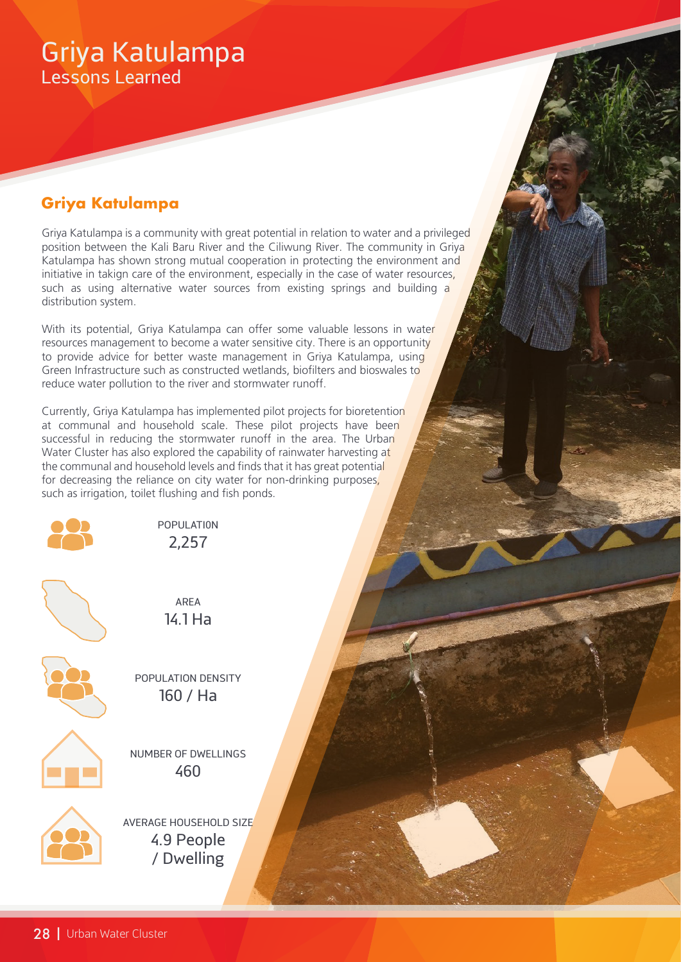# Griya Katulampa Lessons Learned

## **Griya Katulampa**

Griya Katulampa is a community with great potential in relation to water and a privileged position between the Kali Baru River and the Ciliwung River. The community in Griya Katulampa has shown strong mutual cooperation in protecting the environment and initiative in takign care of the environment, especially in the case of water resources, such as using alternative water sources from existing springs and building a distribution system.

With its potential, Griya Katulampa can offer some valuable lessons in water resources management to become a water sensitive city. There is an opportunity to provide advice for better waste management in Griya Katulampa, using Green Infrastructure such as constructed wetlands, biofilters and bioswales to reduce water pollution to the river and stormwater runoff.

Currently, Griya Katulampa has implemented pilot projects for bioretention at communal and household scale. These pilot projects have been successful in reducing the stormwater runoff in the area. The Urban Water Cluster has also explored the capability of rainwater harvesting at the communal and household levels and finds that it has great potential for decreasing the reliance on city water for non-drinking purposes, such as irrigation, toilet flushing and fish ponds.



POPULATI0N 2,257



AREA 14.1 Ha

POPULATION DENSITY 160 / Ha



NUMBER OF DWELLINGS 460

AVERAGE HOUSEHOLD SIZE 4.9 People / Dwelling